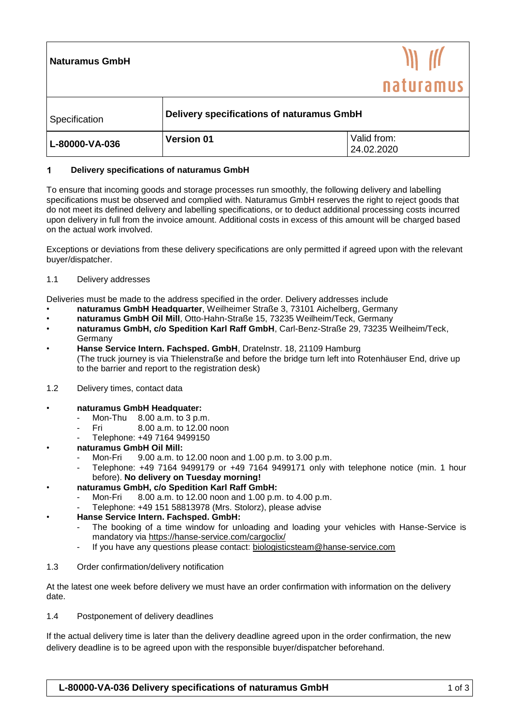| <b>Naturamus GmbH</b> |                                           | naturamus                 |
|-----------------------|-------------------------------------------|---------------------------|
| Specification         | Delivery specifications of naturamus GmbH |                           |
| L-80000-VA-036        | <b>Version 01</b>                         | Valid from:<br>24.02.2020 |

## $\blacktriangleleft$ **Delivery specifications of naturamus GmbH**

To ensure that incoming goods and storage processes run smoothly, the following delivery and labelling specifications must be observed and complied with. Naturamus GmbH reserves the right to reject goods that do not meet its defined delivery and labelling specifications, or to deduct additional processing costs incurred upon delivery in full from the invoice amount. Additional costs in excess of this amount will be charged based on the actual work involved.

Exceptions or deviations from these delivery specifications are only permitted if agreed upon with the relevant buyer/dispatcher.

1.1 Delivery addresses

Deliveries must be made to the address specified in the order. Delivery addresses include

- **naturamus GmbH Headquarter**, Weilheimer Straße 3, 73101 Aichelberg, Germany
- **naturamus GmbH Oil Mill**, Otto-Hahn-Straße 15, 73235 Weilheim/Teck, Germany
- **naturamus GmbH, c/o Spedition Karl Raff GmbH**, Carl-Benz-Straße 29, 73235 Weilheim/Teck, Germany
- **Hanse Service Intern. Fachsped. GmbH**, Dratelnstr. 18, 21109 Hamburg (The truck journey is via Thielenstraße and before the bridge turn left into Rotenhäuser End, drive up to the barrier and report to the registration desk)
- 1.2 Delivery times, contact data
- **naturamus GmbH Headquater:**
	- Mon-Thu  $8.00$  a.m. to 3 p.m.
	- Fri 8.00 a.m. to 12.00 noon
	- Telephone: +49 7164 9499150
- **naturamus GmbH Oil Mill:**
	- Mon-Fri 9.00 a.m. to 12.00 noon and 1.00 p.m. to 3.00 p.m.
	- Telephone: +49 7164 9499179 or +49 7164 9499171 only with telephone notice (min. 1 hour before). **No delivery on Tuesday morning!**
- **naturamus GmbH, c/o Spedition Karl Raff GmbH:**
	- Mon-Fri 8.00 a.m. to 12.00 noon and 1.00 p.m. to 4.00 p.m.
	- Telephone: +49 151 58813978 (Mrs. Stolorz), please advise

## • **Hanse Service Intern. Fachsped. GmbH:**

- The booking of a time window for unloading and loading your vehicles with Hanse-Service is mandatory via<https://hanse-service.com/cargoclix/>
- If you have any questions please contact: [biologisticsteam@hanse-service.com](mailto:biologisticsteam@hanse-service.com)
- 1.3 Order confirmation/delivery notification

At the latest one week before delivery we must have an order confirmation with information on the delivery date.

1.4 Postponement of delivery deadlines

If the actual delivery time is later than the delivery deadline agreed upon in the order confirmation, the new delivery deadline is to be agreed upon with the responsible buyer/dispatcher beforehand.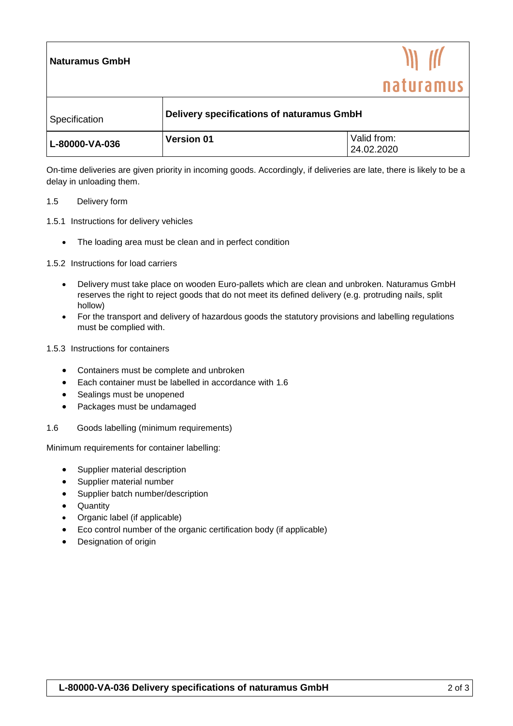| <b>Naturamus GmbH</b> |                                           | naturamus                 |
|-----------------------|-------------------------------------------|---------------------------|
| Specification         | Delivery specifications of naturamus GmbH |                           |
| L-80000-VA-036        | <b>Version 01</b>                         | Valid from:<br>24.02.2020 |

On-time deliveries are given priority in incoming goods. Accordingly, if deliveries are late, there is likely to be a delay in unloading them.

## 1.5 Delivery form

- 1.5.1 Instructions for delivery vehicles
	- The loading area must be clean and in perfect condition
- 1.5.2 Instructions for load carriers
	- Delivery must take place on wooden Euro-pallets which are clean and unbroken. Naturamus GmbH reserves the right to reject goods that do not meet its defined delivery (e.g. protruding nails, split hollow)
	- For the transport and delivery of hazardous goods the statutory provisions and labelling regulations must be complied with.
- 1.5.3 Instructions for containers
	- Containers must be complete and unbroken
	- Each container must be labelled in accordance with 1.6
	- Sealings must be unopened
	- Packages must be undamaged
- 1.6 Goods labelling (minimum requirements)

Minimum requirements for container labelling:

- Supplier material description
- Supplier material number
- Supplier batch number/description
- Quantity
- Organic label (if applicable)
- Eco control number of the organic certification body (if applicable)
- Designation of origin